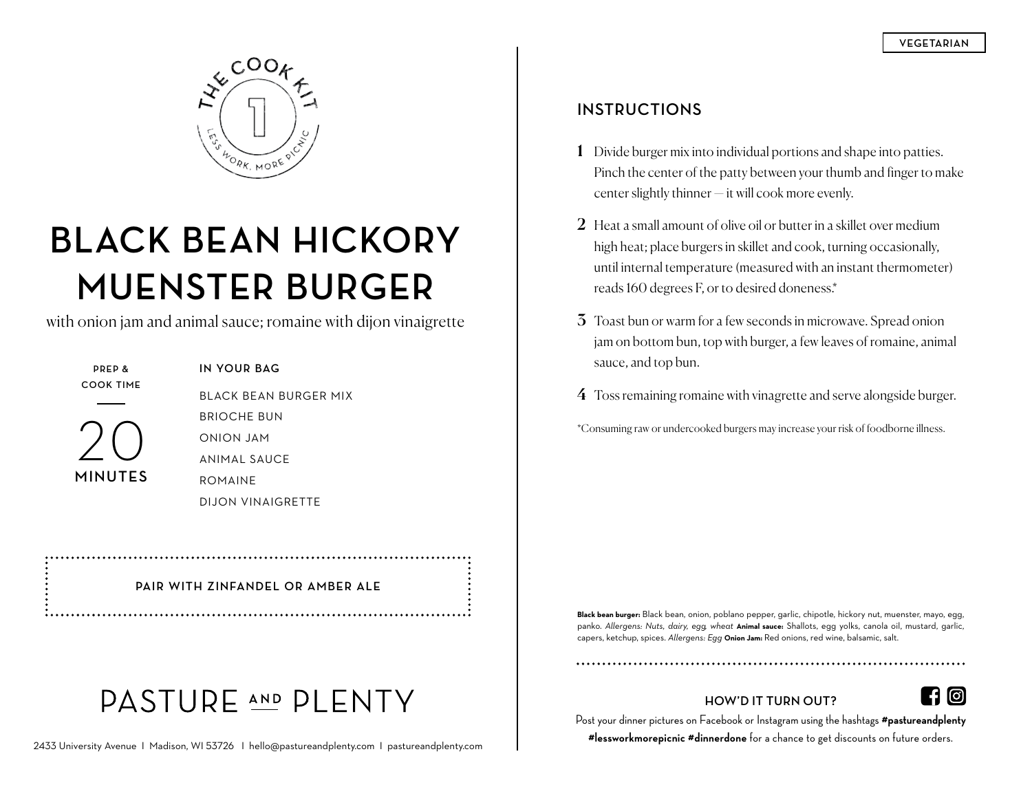

# **BLACK BEAN HICKORY MUENSTER BURGER**

with onion jam and animal sauce; romaine with dijon vinaigrette



**IN YOUR BAG** BLACK BEAN BURGER MIX BRIOCHE BUN ONION JAM ANIMAL SAUCE ROMAINE DIJON VINAIGRETTE

**PAIR WITH ZINFANDEL OR AMBER ALE**

## PASTURE AND PLENTY

#### **INSTRUCTIONS**

- 1 Divide burger mix into individual portions and shape into patties. Pinch the center of the patty between your thumb and finger to make center slightly thinner — it will cook more evenly.
- 2 Heat a small amount of olive oil or butter in a skillet over medium high heat; place burgers in skillet and cook, turning occasionally, until internal temperature (measured with an instant thermometer) reads 160 degrees F, or to desired doneness.\*
- 3 Toast bun or warm for a few seconds in microwave. Spread onion jam on bottom bun, top with burger, a few leaves of romaine, animal sauce, and top bun.
- 4 Toss remaining romaine with vinagrette and serve alongside burger.

\*Consuming raw or undercooked burgers may increase your risk of foodborne illness.

**Black bean burger:** Black bean, onion, poblano pepper, garlic, chipotle, hickory nut, muenster, mayo, egg, panko. *Allergens: Nuts, dairy, egg, wheat* **Animal sauce:** Shallots, egg yolks, canola oil, mustard, garlic, capers, ketchup, spices. *Allergens: Egg* **Onion Jam:** Red onions, red wine, balsamic, salt.

### **HOW'D IT TURN OUT?**



### Post your dinner pictures on Facebook or Instagram using the hashtags **#pastureandplenty**

**#lessworkmorepicnic #dinnerdone** for a chance to get discounts on future orders.